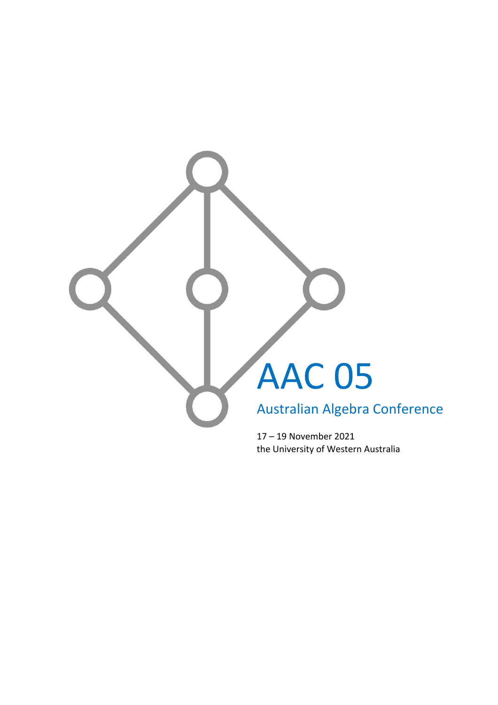

the University of Western Australia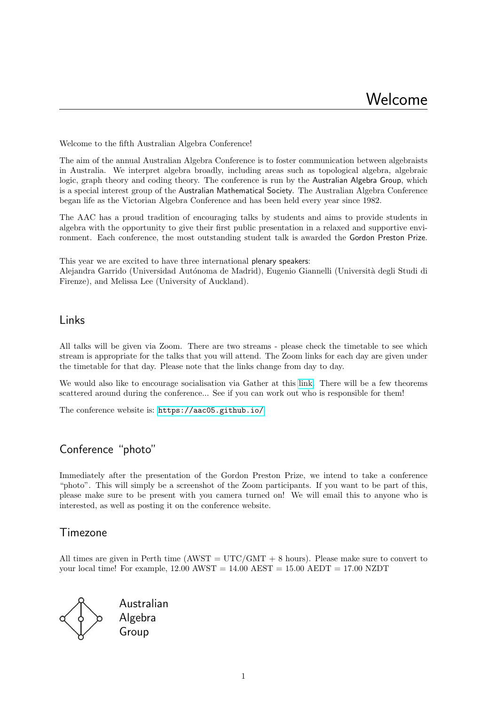Welcome to the fifth Australian Algebra Conference!

The aim of the annual Australian Algebra Conference is to foster communication between algebraists in Australia. We interpret algebra broadly, including areas such as topological algebra, algebraic logic, graph theory and coding theory. The conference is run by the Australian Algebra Group, which is a special interest group of the Australian Mathematical Society. The Australian Algebra Conference began life as the Victorian Algebra Conference and has been held every year since 1982.

The AAC has a proud tradition of encouraging talks by students and aims to provide students in algebra with the opportunity to give their first public presentation in a relaxed and supportive environment. Each conference, the most outstanding student talk is awarded the Gordon Preston Prize.

This year we are excited to have three international plenary speakers: Alejandra Garrido (Universidad Autónoma de Madrid), Eugenio Giannelli (Università degli Studi di Firenze), and Melissa Lee (University of Auckland).

# Links

All talks will be given via Zoom. There are two streams - please check the timetable to see which stream is appropriate for the talks that you will attend. The Zoom links for each day are given under the timetable for that day. Please note that the links change from day to day.

We would also like to encourage socialisation via Gather at this [link.](https://gather.town/app/lyPpuxSQS4zMc7EW/AAC05) There will be a few theorems scattered around during the conference... See if you can work out who is responsible for them!

The conference website is: <https://aac05.github.io/>

# Conference "photo"

Immediately after the presentation of the Gordon Preston Prize, we intend to take a conference "photo". This will simply be a screenshot of the Zoom participants. If you want to be part of this, please make sure to be present with you camera turned on! We will email this to anyone who is interested, as well as posting it on the conference website.

# Timezone

All times are given in Perth time (AWST =  $\text{UTC/GMT} + 8$  hours). Please make sure to convert to your local time! For example,  $12.00 \text{ AWST} = 14.00 \text{ AEST} = 15.00 \text{ AEDT} = 17.00 \text{ NZDT}$ 



Australian Algebra Group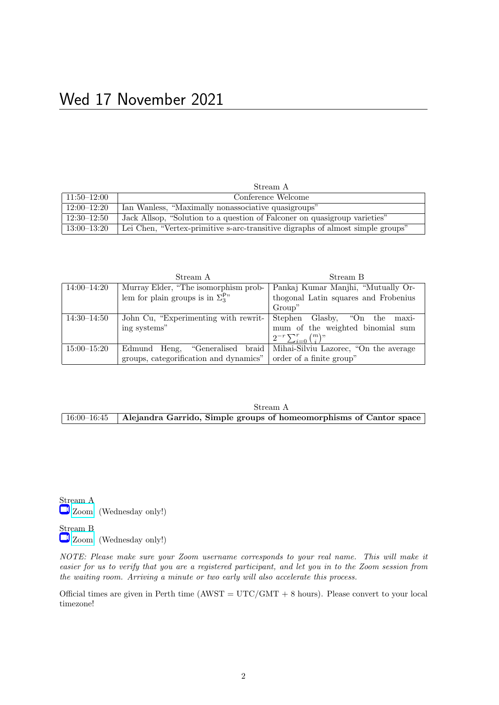| Stream A        |                                                                                |
|-----------------|--------------------------------------------------------------------------------|
| $11:50 - 12:00$ | Conference Welcome                                                             |
| $12:00 - 12:20$ | Ian Wanless, "Maximally nonassociative quasigroups"                            |
| $12:30 - 12:50$ | Jack Allsop, "Solution to a question of Falconer on quasigroup varieties"      |
| $13:00 - 13:20$ | Lei Chen, "Vertex-primitive s-arc-transitive digraphs of almost simple groups" |

|                 | Stream A                                            | Stream B                              |
|-----------------|-----------------------------------------------------|---------------------------------------|
| $14:00 - 14:20$ | Murray Elder, "The isomorphism prob-                | Pankaj Kumar Manjhi, "Mutually Or-    |
|                 | lem for plain groups is in $\Sigma_3^{\mathsf{P}v}$ | thogonal Latin squares and Frobenius  |
|                 |                                                     | Group"                                |
| $14:30 - 14:50$ | John Cu, "Experimenting with rewrit-                | Stephen<br>Glasby, "On the<br>maxi-   |
|                 | ing systems"                                        | mum of the weighted binomial sum      |
|                 |                                                     | $2^{-r}\sum_{i=0}^{r} \binom{m}{i}$   |
| $15:00 - 15:20$ | "Generalised braid<br>Edmund<br>Heng,               | Mihai-Silviu Lazorec, "On the average |
|                 | groups, categorification and dynamics"              | order of a finite group"              |

## Stream A 16:00–16:45 Alejandra Garrido, Simple groups of homeomorphisms of Cantor space

Stream A [Zoom](https://uwa.zoom.us/j/87597471483?pwd=VkcvRHZFb1o4clV6YnRjMDhxajE5UT09) (Wednesday only!)

Stream B [Zoom](https://uwa.zoom.us/j/83773940165?pwd=TXVrZzRaTG9uVncyaGlHb0ZQUkl1UT09) (Wednesday only!)

NOTE: Please make sure your Zoom username corresponds to your real name. This will make it easier for us to verify that you are a registered participant, and let you in to the Zoom session from the waiting room. Arriving a minute or two early will also accelerate this process.

Official times are given in Perth time  $(AWST = UTC/GMT + 8 \text{ hours})$ . Please convert to your local timezone!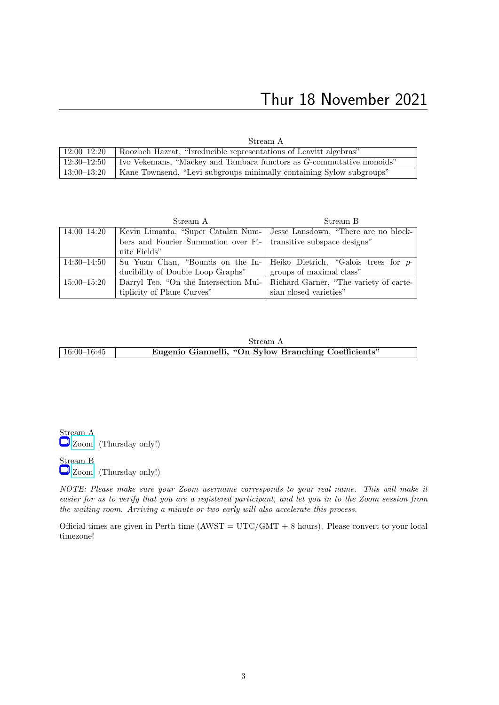# Thur 18 November 2021

Stream A

| $12:00 - 12:20$ | Roozbeh Hazrat, "Irreducible representations of Leavitt algebras"                  |
|-----------------|------------------------------------------------------------------------------------|
|                 | $12:30-12:50$ Vekemans, "Mackey and Tambara functors as G-commutative monoids"     |
|                 | 13:00–13:20   Kane Townsend, "Levi subgroups minimally containing Sylow subgroups" |

|                 | Stream A                                                                     | Stream B                                                                  |
|-----------------|------------------------------------------------------------------------------|---------------------------------------------------------------------------|
| 14:00–14:20     |                                                                              | Kevin Limanta, "Super Catalan Num-   Jesse Lansdown, "There are no block- |
|                 | bers and Fourier Summation over Fi- transitive subspace designs"             |                                                                           |
|                 | nite Fields"                                                                 |                                                                           |
| 14:30–14:50     |                                                                              | Su Yuan Chan, "Bounds on the In- Heiko Dietrich, "Galois trees for $p$ -  |
|                 | ducibility of Double Loop Graphs"                                            | groups of maximal class"                                                  |
| $15:00 - 15:20$ | Darryl Teo, "On the Intersection Mul- Richard Garner, "The variety of carte- |                                                                           |
|                 | tiplicity of Plane Curves"                                                   | sian closed varieties"                                                    |

|             | Stream A                                             |  |
|-------------|------------------------------------------------------|--|
| 16:00–16:45 | Eugenio Giannelli, "On Sylow Branching Coefficients" |  |

Stream A [Zoom](https://uwa.zoom.us/j/83743091696?pwd=bVdYbnN3Zm15WHM5ak83OUlQSXczdz09) (Thursday only!)

Stream B [Zoom](https://uwa.zoom.us/j/86201383982?pwd=OHR0TlV6eFlNS2Z3RU1ldklHUCtNQT09) (Thursday only!)

NOTE: Please make sure your Zoom username corresponds to your real name. This will make it easier for us to verify that you are a registered participant, and let you in to the Zoom session from the waiting room. Arriving a minute or two early will also accelerate this process.

Official times are given in Perth time  $(AWST = UTC/GMT + 8$  hours). Please convert to your local timezone!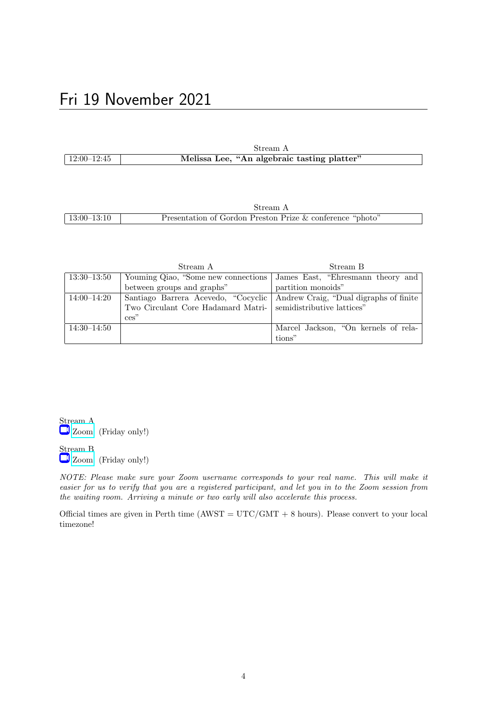|               | Stream A                                    |  |
|---------------|---------------------------------------------|--|
| $12:00-12:45$ | Melissa Lee, "An algebraic tasting platter" |  |

|                 | ream.                                                     |
|-----------------|-----------------------------------------------------------|
| $13:00 - 13:10$ | Presentation of Gordon Preston Prize & conference "photo" |

|                 | Stream A                                                      | Stream B                                                                |
|-----------------|---------------------------------------------------------------|-------------------------------------------------------------------------|
| $13:30 - 13:50$ |                                                               | Youming Qiao, "Some new connections   James East, "Ehresmann theory and |
|                 | between groups and graphs"                                    | partition monoids"                                                      |
| $14:00 - 14:20$ | Santiago Barrera Acevedo, "Cocyclic                           | Andrew Craig, "Dual digraphs of finite                                  |
|                 | Two Circulant Core Hadamard Matri- semidistributive lattices" |                                                                         |
|                 | $\cos$ "                                                      |                                                                         |
| $14:30 - 14:50$ |                                                               | Marcel Jackson, "On kernels of rela-                                    |
|                 |                                                               | tions"                                                                  |

Stream A [Zoom](https://uwa.zoom.us/j/86898692381?pwd=Z1p5cVZxY3pTQmZFNVpQZ045N3lhUT09) (Friday only!)

Stream B [Zoom](https://uwa.zoom.us/j/88548206248?pwd=WHptKzlTeW9vT2VWWkNvSGZteHZVUT09) (Friday only!)

NOTE: Please make sure your Zoom username corresponds to your real name. This will make it easier for us to verify that you are a registered participant, and let you in to the Zoom session from the waiting room. Arriving a minute or two early will also accelerate this process.

Official times are given in Perth time  $(AWST = UTC/GMT + 8$  hours). Please convert to your local timezone!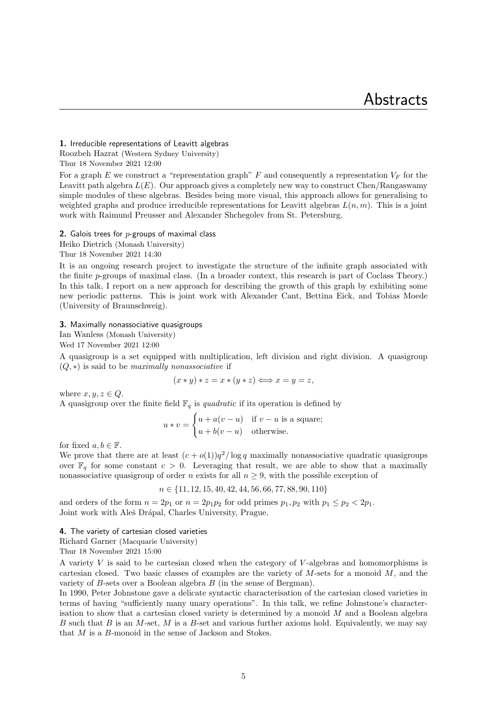## 1. Irreducible representations of Leavitt algebras Roozbeh Hazrat (Western Sydney University)

Thur 18 November 2021 12:00

For a graph E we construct a "representation graph" F and consequently a representation  $V_F$  for the Leavitt path algebra  $L(E)$ . Our approach gives a completely new way to construct Chen/Rangaswamy simple modules of these algebras. Besides being more visual, this approach allows for generalising to weighted graphs and produce irreducible representations for Leavitt algebras  $L(n, m)$ . This is a joint work with Raimund Preusser and Alexander Shchegolev from St. Petersburg.

#### 2. Galois trees for  $p$ -groups of maximal class

Heiko Dietrich (Monash University)

Thur 18 November 2021 14:30

It is an ongoing research project to investigate the structure of the infinite graph associated with the finite p-groups of maximal class. (In a broader context, this research is part of Coclass Theory.) In this talk, I report on a new approach for describing the growth of this graph by exhibiting some new periodic patterns. This is joint work with Alexander Cant, Bettina Eick, and Tobias Moede (University of Braunschweig).

#### 3. Maximally nonassociative quasigroups

Ian Wanless (Monash University)

Wed 17 November 2021 12:00

A quasigroup is a set equipped with multiplication, left division and right division. A quasigroup  $(Q, *)$  is said to be maximally nonassociative if

$$
(x * y) * z = x * (y * z) \Longleftrightarrow x = y = z,
$$

where  $x, y, z \in Q$ . A quasigroup over the finite field  $\mathbb{F}_q$  is *quadratic* if its operation is defined by

$$
u * v = \begin{cases} u + a(v - u) & \text{if } v - u \text{ is a square;} \\ u + b(v - u) & \text{otherwise.} \end{cases}
$$

for fixed  $a, b \in \mathbb{F}$ .

We prove that there are at least  $(c+o(1))q^2/\log q$  maximally nonassociative quadratic quasigroups over  $\mathbb{F}_q$  for some constant  $c > 0$ . Leveraging that result, we are able to show that a maximally nonassociative quasigroup of order n exists for all  $n \geq 9$ , with the possible exception of

$$
n \in \{11, 12, 15, 40, 42, 44, 56, 66, 77, 88, 90, 110\}
$$

and orders of the form  $n = 2p_1$  or  $n = 2p_1p_2$  for odd primes  $p_1, p_2$  with  $p_1 \leq p_2 < 2p_1$ . Joint work with Aleš Drápal, Charles University, Prague.

#### 4. The variety of cartesian closed varieties

Richard Garner (Macquarie University)

Thur 18 November 2021 15:00

A variety V is said to be cartesian closed when the category of V -algebras and homomorphisms is cartesian closed. Two basic classes of examples are the variety of  $M$ -sets for a monoid  $M$ , and the variety of B-sets over a Boolean algebra B (in the sense of Bergman).

In 1990, Peter Johnstone gave a delicate syntactic characterisation of the cartesian closed varieties in terms of having "sufficiently many unary operations". In this talk, we refine Johnstone's characterisation to show that a cartesian closed variety is determined by a monoid M and a Boolean algebra B such that B is an M-set, M is a B-set and various further axioms hold. Equivalently, we may say that  $M$  is a  $B$ -monoid in the sense of Jackson and Stokes.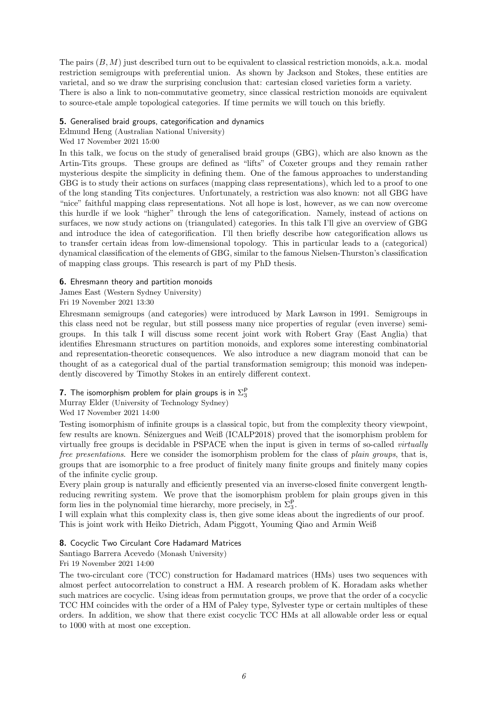The pairs  $(B, M)$  just described turn out to be equivalent to classical restriction monoids, a.k.a. modal restriction semigroups with preferential union. As shown by Jackson and Stokes, these entities are varietal, and so we draw the surprising conclusion that: cartesian closed varieties form a variety. There is also a link to non-commutative geometry, since classical restriction monoids are equivalent to source-etale ample topological categories. If time permits we will touch on this briefly.

## 5. Generalised braid groups, categorification and dynamics

Edmund Heng (Australian National University)

## Wed 17 November 2021 15:00

In this talk, we focus on the study of generalised braid groups (GBG), which are also known as the Artin-Tits groups. These groups are defined as "lifts" of Coxeter groups and they remain rather mysterious despite the simplicity in defining them. One of the famous approaches to understanding GBG is to study their actions on surfaces (mapping class representations), which led to a proof to one of the long standing Tits conjectures. Unfortunately, a restriction was also known: not all GBG have "nice" faithful mapping class representations. Not all hope is lost, however, as we can now overcome this hurdle if we look "higher" through the lens of categorification. Namely, instead of actions on surfaces, we now study actions on (triangulated) categories. In this talk I'll give an overview of GBG and introduce the idea of categorification. I'll then briefly describe how categorification allows us to transfer certain ideas from low-dimensional topology. This in particular leads to a (categorical) dynamical classification of the elements of GBG, similar to the famous Nielsen-Thurston's classification of mapping class groups. This research is part of my PhD thesis.

## 6. Ehresmann theory and partition monoids

James East (Western Sydney University)

Fri 19 November 2021 13:30

Ehresmann semigroups (and categories) were introduced by Mark Lawson in 1991. Semigroups in this class need not be regular, but still possess many nice properties of regular (even inverse) semigroups. In this talk I will discuss some recent joint work with Robert Gray (East Anglia) that identifies Ehresmann structures on partition monoids, and explores some interesting combinatorial and representation-theoretic consequences. We also introduce a new diagram monoid that can be thought of as a categorical dual of the partial transformation semigroup; this monoid was independently discovered by Timothy Stokes in an entirely different context.

## **7.** The isomorphism problem for plain groups is in  $\Sigma_3^{\mathsf{P}}$

Murray Elder (University of Technology Sydney)

Wed 17 November 2021 14:00

Testing isomorphism of infinite groups is a classical topic, but from the complexity theory viewpoint, few results are known. Sénizergues and Weiß (ICALP2018) proved that the isomorphism problem for virtually free groups is decidable in PSPACE when the input is given in terms of so-called virtually free presentations. Here we consider the isomorphism problem for the class of plain groups, that is, groups that are isomorphic to a free product of finitely many finite groups and finitely many copies of the infinite cyclic group.

Every plain group is naturally and efficiently presented via an inverse-closed finite convergent lengthreducing rewriting system. We prove that the isomorphism problem for plain groups given in this form lies in the polynomial time hierarchy, more precisely, in  $\Sigma_3^{\mathsf{P}}$ .

I will explain what this complexity class is, then give some ideas about the ingredients of our proof. This is joint work with Heiko Dietrich, Adam Piggott, Youming Qiao and Armin Weiß

## 8. Cocyclic Two Circulant Core Hadamard Matrices

Santiago Barrera Acevedo (Monash University)

## Fri 19 November 2021 14:00

The two-circulant core (TCC) construction for Hadamard matrices (HMs) uses two sequences with almost perfect autocorrelation to construct a HM. A research problem of K. Horadam asks whether such matrices are cocyclic. Using ideas from permutation groups, we prove that the order of a cocyclic TCC HM coincides with the order of a HM of Paley type, Sylvester type or certain multiples of these orders. In addition, we show that there exist cocyclic TCC HMs at all allowable order less or equal to 1000 with at most one exception.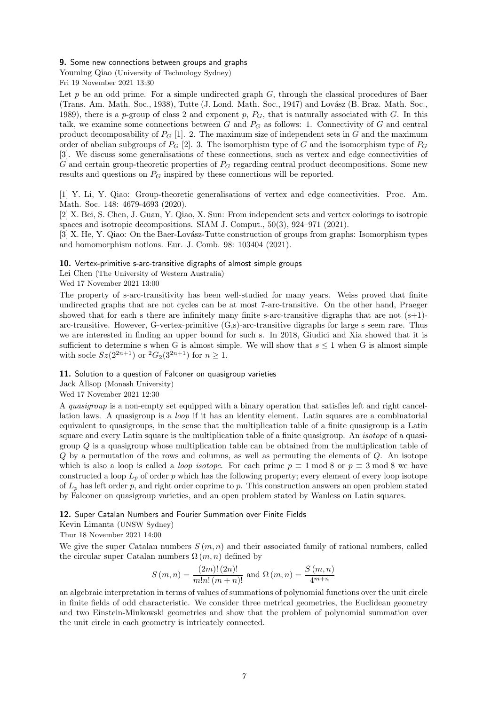#### 9. Some new connections between groups and graphs

Youming Qiao (University of Technology Sydney) Fri 19 November 2021 13:30

Let  $p$  be an odd prime. For a simple undirected graph  $G$ , through the classical procedures of Baer (Trans. Am. Math. Soc., 1938), Tutte (J. Lond. Math. Soc., 1947) and Lovász (B. Braz. Math. Soc., 1989), there is a p-group of class 2 and exponent p,  $P_G$ , that is naturally associated with G. In this talk, we examine some connections between  $G$  and  $P_G$  as follows: 1. Connectivity of  $G$  and central product decomposability of  $P_G$  [1]. 2. The maximum size of independent sets in G and the maximum order of abelian subgroups of  $P_G$  [2]. 3. The isomorphism type of G and the isomorphism type of  $P_G$ [3]. We discuss some generalisations of these connections, such as vertex and edge connectivities of G and certain group-theoretic properties of  $P_G$  regarding central product decompositions. Some new results and questions on  $P_G$  inspired by these connections will be reported.

[1] Y. Li, Y. Qiao: Group-theoretic generalisations of vertex and edge connectivities. Proc. Am. Math. Soc. 148: 4679-4693 (2020).

[2] X. Bei, S. Chen, J. Guan, Y. Qiao, X. Sun: From independent sets and vertex colorings to isotropic spaces and isotropic decompositions. SIAM J. Comput., 50(3), 924–971 (2021).

[3] X. He, Y. Qiao: On the Baer-Lovász-Tutte construction of groups from graphs: Isomorphism types and homomorphism notions. Eur. J. Comb. 98: 103404 (2021).

#### 10. Vertex-primitive s-arc-transitive digraphs of almost simple groups

Lei Chen (The University of Western Australia)

Wed 17 November 2021 13:00

The property of s-arc-transitivity has been well-studied for many years. Weiss proved that finite undirected graphs that are not cycles can be at most 7-arc-transitive. On the other hand, Praeger showed that for each s there are infinitely many finite s-arc-transitive digraphs that are not  $(s+1)$ arc-transitive. However, G-vertex-primitive (G,s)-arc-transitive digraphs for large s seem rare. Thus we are interested in finding an upper bound for such s. In 2018, Giudici and Xia showed that it is sufficient to determine s when G is almost simple. We will show that  $s \leq 1$  when G is almost simple with socle  $Sz(2^{2n+1})$  or  ${}^2G_2(3^{2n+1})$  for  $n \ge 1$ .

11. Solution to a question of Falconer on quasigroup varieties

Jack Allsop (Monash University)

Wed 17 November 2021 12:30

A quasigroup is a non-empty set equipped with a binary operation that satisfies left and right cancellation laws. A quasigroup is a loop if it has an identity element. Latin squares are a combinatorial equivalent to quasigroups, in the sense that the multiplication table of a finite quasigroup is a Latin square and every Latin square is the multiplication table of a finite quasigroup. An isotope of a quasigroup  $Q$  is a quasigroup whose multiplication table can be obtained from the multiplication table of Q by a permutation of the rows and columns, as well as permuting the elements of Q. An isotope which is also a loop is called a *loop isotope*. For each prime  $p \equiv 1 \text{ mod } 8$  or  $p \equiv 3 \text{ mod } 8$  we have constructed a loop  $L_p$  of order p which has the following property; every element of every loop isotope of  $L_p$  has left order p, and right order coprime to p. This construction answers an open problem stated by Falconer on quasigroup varieties, and an open problem stated by Wanless on Latin squares.

12. Super Catalan Numbers and Fourier Summation over Finite Fields

Kevin Limanta (UNSW Sydney)

Thur 18 November 2021 14:00

We give the super Catalan numbers  $S(m, n)$  and their associated family of rational numbers, called the circular super Catalan numbers  $\Omega(m, n)$  defined by

$$
S(m, n) = \frac{(2m)! (2n)!}{m! n! (m+n)!}
$$
 and  $\Omega(m, n) = \frac{S(m, n)}{4^{m+n}}$ 

an algebraic interpretation in terms of values of summations of polynomial functions over the unit circle in finite fields of odd characteristic. We consider three metrical geometries, the Euclidean geometry and two Einstein-Minkowski geometries and show that the problem of polynomial summation over the unit circle in each geometry is intricately connected.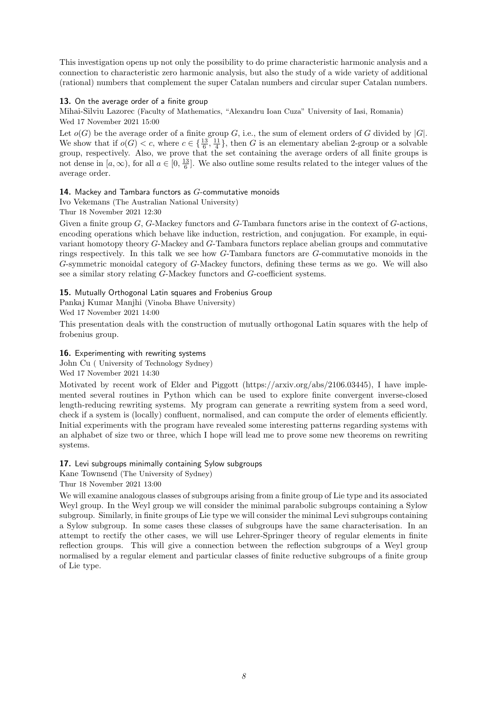This investigation opens up not only the possibility to do prime characteristic harmonic analysis and a connection to characteristic zero harmonic analysis, but also the study of a wide variety of additional (rational) numbers that complement the super Catalan numbers and circular super Catalan numbers.

## 13. On the average order of a finite group

Mihai-Silviu Lazorec (Faculty of Mathematics, "Alexandru Ioan Cuza" University of Iasi, Romania) Wed 17 November 2021 15:00

Let  $o(G)$  be the average order of a finite group G, i.e., the sum of element orders of G divided by  $|G|$ . We show that if  $o(G) < c$ , where  $c \in \{\frac{13}{6}, \frac{11}{4}\}$ , then G is an elementary abelian 2-group or a solvable group, respectively. Also, we prove that the set containing the average orders of all finite groups is not dense in  $[a,\infty)$ , for all  $a\in[0,\frac{13}{6}]$ . We also outline some results related to the integer values of the average order.

## 14. Mackey and Tambara functors as  $G$ -commutative monoids

Ivo Vekemans (The Australian National University)

Thur 18 November 2021 12:30

Given a finite group G, G-Mackey functors and G-Tambara functors arise in the context of G-actions, encoding operations which behave like induction, restriction, and conjugation. For example, in equivariant homotopy theory G-Mackey and G-Tambara functors replace abelian groups and commutative rings respectively. In this talk we see how G-Tambara functors are G-commutative monoids in the G-symmetric monoidal category of G-Mackey functors, defining these terms as we go. We will also see a similar story relating G-Mackey functors and G-coefficient systems.

## 15. Mutually Orthogonal Latin squares and Frobenius Group

Pankaj Kumar Manjhi (Vinoba Bhave University)

Wed 17 November 2021 14:00

This presentation deals with the construction of mutually orthogonal Latin squares with the help of frobenius group.

## 16. Experimenting with rewriting systems

John Cu ( University of Technology Sydney)

Wed 17 November 2021 14:30

Motivated by recent work of Elder and Piggott (https://arxiv.org/abs/2106.03445), I have implemented several routines in Python which can be used to explore finite convergent inverse-closed length-reducing rewriting systems. My program can generate a rewriting system from a seed word, check if a system is (locally) confluent, normalised, and can compute the order of elements efficiently. Initial experiments with the program have revealed some interesting patterns regarding systems with an alphabet of size two or three, which I hope will lead me to prove some new theorems on rewriting systems.

## 17. Levi subgroups minimally containing Sylow subgroups

Kane Townsend (The University of Sydney)

Thur 18 November 2021 13:00

We will examine analogous classes of subgroups arising from a finite group of Lie type and its associated Weyl group. In the Weyl group we will consider the minimal parabolic subgroups containing a Sylow subgroup. Similarly, in finite groups of Lie type we will consider the minimal Levi subgroups containing a Sylow subgroup. In some cases these classes of subgroups have the same characterisation. In an attempt to rectify the other cases, we will use Lehrer-Springer theory of regular elements in finite reflection groups. This will give a connection between the reflection subgroups of a Weyl group normalised by a regular element and particular classes of finite reductive subgroups of a finite group of Lie type.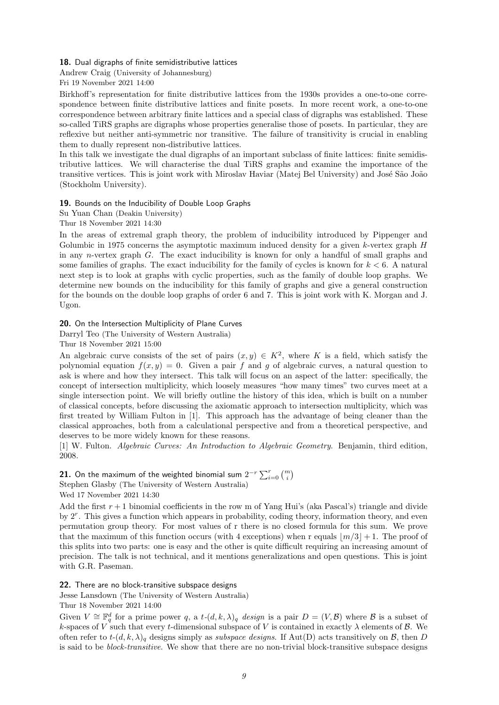#### 18. Dual digraphs of finite semidistributive lattices

Andrew Craig (University of Johannesburg)

Fri 19 November 2021 14:00

Birkhoff's representation for finite distributive lattices from the 1930s provides a one-to-one correspondence between finite distributive lattices and finite posets. In more recent work, a one-to-one correspondence between arbitrary finite lattices and a special class of digraphs was established. These so-called TiRS graphs are digraphs whose properties generalise those of posets. In particular, they are reflexive but neither anti-symmetric nor transitive. The failure of transitivity is crucial in enabling them to dually represent non-distributive lattices.

In this talk we investigate the dual digraphs of an important subclass of finite lattices: finite semidistributive lattices. We will characterise the dual TiRS graphs and examine the importance of the transitive vertices. This is joint work with Miroslav Haviar (Matej Bel University) and José São João (Stockholm University).

19. Bounds on the Inducibility of Double Loop Graphs

Su Yuan Chan (Deakin University)

Thur 18 November 2021 14:30

In the areas of extremal graph theory, the problem of inducibility introduced by Pippenger and Golumbic in 1975 concerns the asymptotic maximum induced density for a given k-vertex graph H in any n-vertex graph  $G$ . The exact inducibility is known for only a handful of small graphs and some families of graphs. The exact inducibility for the family of cycles is known for  $k < 6$ . A natural next step is to look at graphs with cyclic properties, such as the family of double loop graphs. We determine new bounds on the inducibility for this family of graphs and give a general construction for the bounds on the double loop graphs of order 6 and 7. This is joint work with K. Morgan and J. Ugon.

20. On the Intersection Multiplicity of Plane Curves

Darryl Teo (The University of Western Australia)

Thur 18 November 2021 15:00

An algebraic curve consists of the set of pairs  $(x, y) \in K^2$ , where K is a field, which satisfy the polynomial equation  $f(x, y) = 0$ . Given a pair f and g of algebraic curves, a natural question to ask is where and how they intersect. This talk will focus on an aspect of the latter: specifically, the concept of intersection multiplicity, which loosely measures "how many times" two curves meet at a single intersection point. We will briefly outline the history of this idea, which is built on a number of classical concepts, before discussing the axiomatic approach to intersection multiplicity, which was first treated by William Fulton in [1]. This approach has the advantage of being cleaner than the classical approaches, both from a calculational perspective and from a theoretical perspective, and deserves to be more widely known for these reasons.

[1] W. Fulton. Algebraic Curves: An Introduction to Algebraic Geometry. Benjamin, third edition, 2008.

**21.** On the maximum of the weighted binomial sum  $2^{-r} \sum_{i=0}^{r} {m \choose i}$ Stephen Glasby (The University of Western Australia) Wed 17 November 2021 14:30

Add the first  $r + 1$  binomial coefficients in the row m of Yang Hui's (aka Pascal's) triangle and divide by 2<sup>r</sup>. This gives a function which appears in probability, coding theory, information theory, and even permutation group theory. For most values of r there is no closed formula for this sum. We prove that the maximum of this function occurs (with 4 exceptions) when r equals  $\lfloor m/3 \rfloor + 1$ . The proof of this splits into two parts: one is easy and the other is quite difficult requiring an increasing amount of precision. The talk is not technical, and it mentions generalizations and open questions. This is joint with G.R. Paseman.

22. There are no block-transitive subspace designs

Jesse Lansdown (The University of Western Australia)

Thur 18 November 2021 14:00

Given  $V \cong \mathbb{F}_q^d$  for a prime power q, a  $t-(d, k, \lambda)_q$  design is a pair  $D = (V, \mathcal{B})$  where  $\mathcal{B}$  is a subset of k-spaces of V such that every t-dimensional subspace of V is contained in exactly  $\lambda$  elements of  $\beta$ . We often refer to  $t-(d, k, \lambda)_q$  designs simply as *subspace designs*. If Aut(D) acts transitively on  $\mathcal{B}$ , then D is said to be *block-transitive*. We show that there are no non-trivial block-transitive subspace designs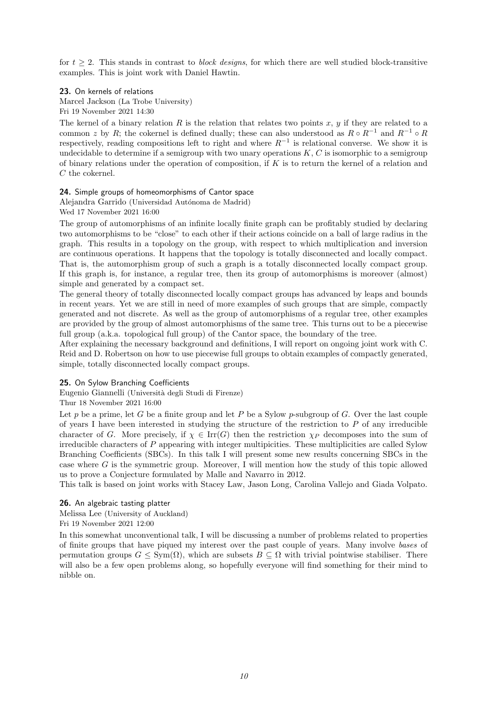for  $t > 2$ . This stands in contrast to *block designs*, for which there are well studied block-transitive examples. This is joint work with Daniel Hawtin.

23. On kernels of relations Marcel Jackson (La Trobe University) Fri 19 November 2021 14:30

The kernel of a binary relation  $R$  is the relation that relates two points  $x, y$  if they are related to a common z by R; the cokernel is defined dually; these can also understood as  $R \circ R^{-1}$  and  $R^{-1} \circ R$ respectively, reading compositions left to right and where  $R^{-1}$  is relational converse. We show it is undecidable to determine if a semigroup with two unary operations  $K, C$  is isomorphic to a semigroup of binary relations under the operation of composition, if  $K$  is to return the kernel of a relation and C the cokernel.

#### 24. Simple groups of homeomorphisms of Cantor space

Alejandra Garrido (Universidad Autónoma de Madrid) Wed 17 November 2021 16:00

The group of automorphisms of an infinite locally finite graph can be profitably studied by declaring two automorphisms to be "close" to each other if their actions coincide on a ball of large radius in the graph. This results in a topology on the group, with respect to which multiplication and inversion are continuous operations. It happens that the topology is totally disconnected and locally compact. That is, the automorphism group of such a graph is a totally disconnected locally compact group. If this graph is, for instance, a regular tree, then its group of automorphisms is moreover (almost) simple and generated by a compact set.

The general theory of totally disconnected locally compact groups has advanced by leaps and bounds in recent years. Yet we are still in need of more examples of such groups that are simple, compactly generated and not discrete. As well as the group of automorphisms of a regular tree, other examples are provided by the group of almost automorphisms of the same tree. This turns out to be a piecewise full group (a.k.a. topological full group) of the Cantor space, the boundary of the tree.

After explaining the necessary background and definitions, I will report on ongoing joint work with C. Reid and D. Robertson on how to use piecewise full groups to obtain examples of compactly generated, simple, totally disconnected locally compact groups.

## 25. On Sylow Branching Coefficients

Eugenio Giannelli (Universit`a degli Studi di Firenze)

#### Thur 18 November 2021 16:00

Let p be a prime, let G be a finite group and let P be a Sylow p-subgroup of G. Over the last couple of years I have been interested in studying the structure of the restriction to  $P$  of any irreducible character of G. More precisely, if  $\chi \in \text{Irr}(G)$  then the restriction  $\chi_P$  decomposes into the sum of irreducible characters of P appearing with integer multipicities. These multiplicities are called Sylow Branching Coefficients (SBCs). In this talk I will present some new results concerning SBCs in the case where G is the symmetric group. Moreover, I will mention how the study of this topic allowed us to prove a Conjecture formulated by Malle and Navarro in 2012.

This talk is based on joint works with Stacey Law, Jason Long, Carolina Vallejo and Giada Volpato.

#### 26. An algebraic tasting platter

Melissa Lee (University of Auckland) Fri 19 November 2021 12:00

In this somewhat unconventional talk, I will be discussing a number of problems related to properties of finite groups that have piqued my interest over the past couple of years. Many involve bases of permutation groups  $G \le Sym(\Omega)$ , which are subsets  $B \subseteq \Omega$  with trivial pointwise stabiliser. There will also be a few open problems along, so hopefully everyone will find something for their mind to nibble on.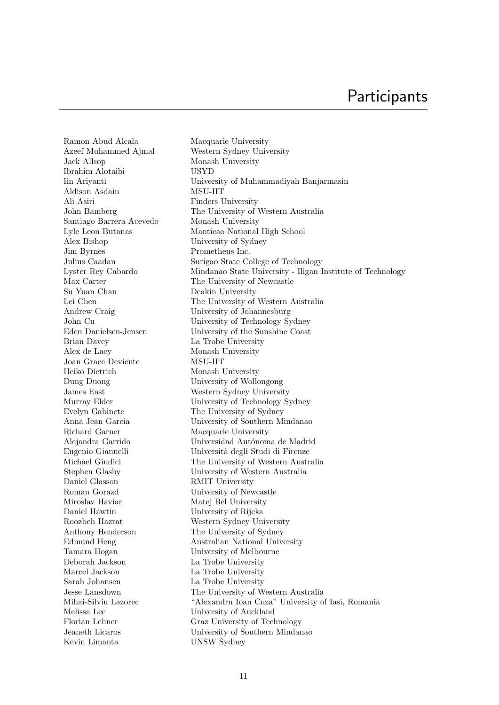Ramon Abud Alcala Macquarie University Azeef Muhammed Ajmal Western Sydney University Jack Allsop Monash University Ibrahim Alotaibi USYD Aldison Asdain MSU-IIT Ali Asiri Finders University Santiago Barrera Acevedo Monash University Alex Bishop University of Sydney Jim Byrnes Prometheus Inc. Su Yuan Chan Deakin University Andrew Craig University of Johannesburg Brian Davey La Trobe University Alex de Lacy Monash University Joan Grace Deviente MSU-IIT Heiko Dietrich Monash University Dung Duong University of Wollongong James East Western Sydney University Evelyn Gabinete The University of Sydney Richard Garner Macquarie University Daniel Glasson RMIT University Roman Gorazd University of Newcastle Miroslav Haviar Matej Bel University Daniel Hawtin University of Rijeka Roozbeh Hazrat Western Sydney University Anthony Henderson The University of Sydney Tamara Hogan University of Melbourne Deborah Jackson La Trobe University Marcel Jackson La Trobe University Sarah Johansen La Trobe University Melissa Lee University of Auckland Kevin Limanta UNSW Sydney

Iin Ariyanti University of Muhammadiyah Banjarmasin John Bamberg The University of Western Australia Lyle Leon Butanas Manticao National High School Julius Caadan Surigao State College of Technology Lyster Rey Cabardo Mindanao State University - Iligan Institute of Technology Max Carter The University of Newcastle Lei Chen The University of Western Australia John Cu University of Technology Sydney Eden Danielsen-Jensen University of the Sunshine Coast Murray Elder University of Technology Sydney Anna Jean Garcia University of Southern Mindanao Alejandra Garrido Universidad Autónoma de Madrid Eugenio Giannelli Università degli Studi di Firenze Michael Giudici The University of Western Australia Stephen Glasby University of Western Australia Edmund Heng Australian National University Jesse Lansdown The University of Western Australia Mihai-Silviu Lazorec "Alexandru Ioan Cuza" University of Iasi, Romania Florian Lehner Graz University of Technology Jeaneth Licaros University of Southern Mindanao